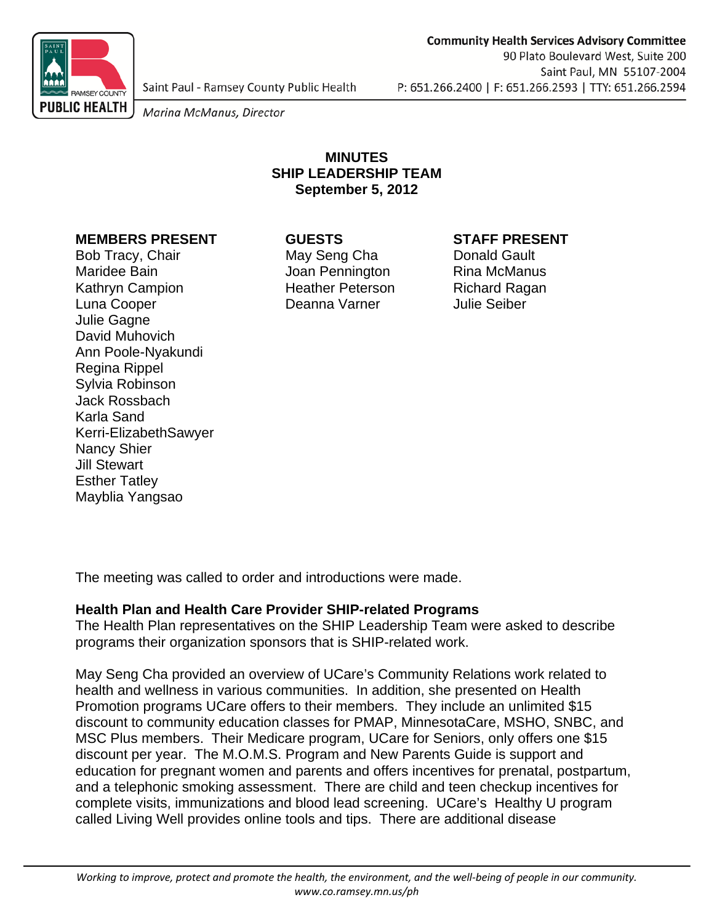

Saint Paul - Ramsey County Public Health

Marina McManus, Director

# **MINUTES SHIP LEADERSHIP TEAM September 5, 2012**

## **MEMBERS PRESENT GUESTS STAFF PRESENT**

Bob Tracy, Chair **May Seng Cha** Donald Gault Maridee Bain **Maridee Bain** Joan Pennington Rina McManus Kathryn Campion **Heather Peterson** Richard Ragan Luna Cooper Deanna Varner Julie Seiber Julie Gagne David Muhovich Ann Poole-Nyakundi Regina Rippel Sylvia Robinson Jack Rossbach Karla Sand Kerri-ElizabethSawyer Nancy Shier Jill Stewart Esther Tatley Mayblia Yangsao

The meeting was called to order and introductions were made.

### **Health Plan and Health Care Provider SHIP-related Programs**

The Health Plan representatives on the SHIP Leadership Team were asked to describe programs their organization sponsors that is SHIP-related work.

May Seng Cha provided an overview of UCare's Community Relations work related to health and wellness in various communities. In addition, she presented on Health Promotion programs UCare offers to their members. They include an unlimited \$15 discount to community education classes for PMAP, MinnesotaCare, MSHO, SNBC, and MSC Plus members. Their Medicare program, UCare for Seniors, only offers one \$15 discount per year. The M.O.M.S. Program and New Parents Guide is support and education for pregnant women and parents and offers incentives for prenatal, postpartum, and a telephonic smoking assessment. There are child and teen checkup incentives for complete visits, immunizations and blood lead screening. UCare's Healthy U program called Living Well provides online tools and tips. There are additional disease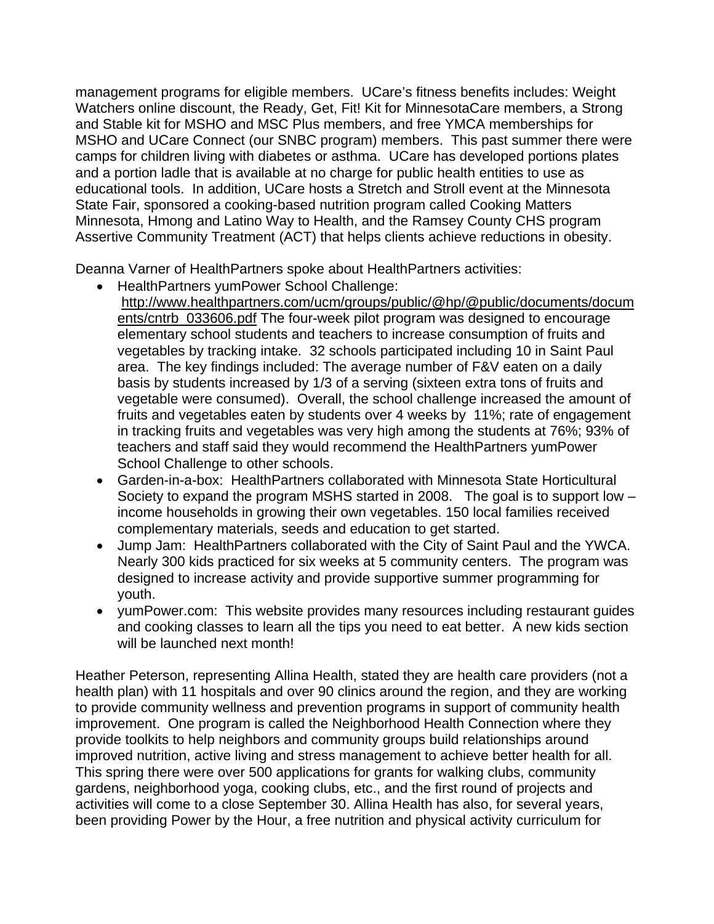management programs for eligible members. UCare's fitness benefits includes: Weight Watchers online discount, the Ready, Get, Fit! Kit for MinnesotaCare members, a Strong and Stable kit for MSHO and MSC Plus members, and free YMCA memberships for MSHO and UCare Connect (our SNBC program) members. This past summer there were camps for children living with diabetes or asthma. UCare has developed portions plates and a portion ladle that is available at no charge for public health entities to use as educational tools. In addition, UCare hosts a Stretch and Stroll event at the Minnesota State Fair, sponsored a cooking-based nutrition program called Cooking Matters Minnesota, Hmong and Latino Way to Health, and the Ramsey County CHS program Assertive Community Treatment (ACT) that helps clients achieve reductions in obesity.

Deanna Varner of HealthPartners spoke about HealthPartners activities:

- HealthPartners yumPower School Challenge:
	- http://www.healthpartners.com/ucm/groups/public/@hp/@public/documents/docum ents/cntrb\_033606.pdf The four-week pilot program was designed to encourage elementary school students and teachers to increase consumption of fruits and vegetables by tracking intake. 32 schools participated including 10 in Saint Paul area. The key findings included: The average number of F&V eaten on a daily basis by students increased by 1/3 of a serving (sixteen extra tons of fruits and vegetable were consumed). Overall, the school challenge increased the amount of fruits and vegetables eaten by students over 4 weeks by 11%; rate of engagement in tracking fruits and vegetables was very high among the students at 76%; 93% of teachers and staff said they would recommend the HealthPartners yumPower School Challenge to other schools.
- Garden-in-a-box: HealthPartners collaborated with Minnesota State Horticultural Society to expand the program MSHS started in 2008. The goal is to support low – income households in growing their own vegetables. 150 local families received complementary materials, seeds and education to get started.
- Jump Jam: HealthPartners collaborated with the City of Saint Paul and the YWCA. Nearly 300 kids practiced for six weeks at 5 community centers. The program was designed to increase activity and provide supportive summer programming for youth.
- yumPower.com: This website provides many resources including restaurant guides and cooking classes to learn all the tips you need to eat better. A new kids section will be launched next month!

Heather Peterson, representing Allina Health, stated they are health care providers (not a health plan) with 11 hospitals and over 90 clinics around the region, and they are working to provide community wellness and prevention programs in support of community health improvement. One program is called the Neighborhood Health Connection where they provide toolkits to help neighbors and community groups build relationships around improved nutrition, active living and stress management to achieve better health for all. This spring there were over 500 applications for grants for walking clubs, community gardens, neighborhood yoga, cooking clubs, etc., and the first round of projects and activities will come to a close September 30. Allina Health has also, for several years, been providing Power by the Hour, a free nutrition and physical activity curriculum for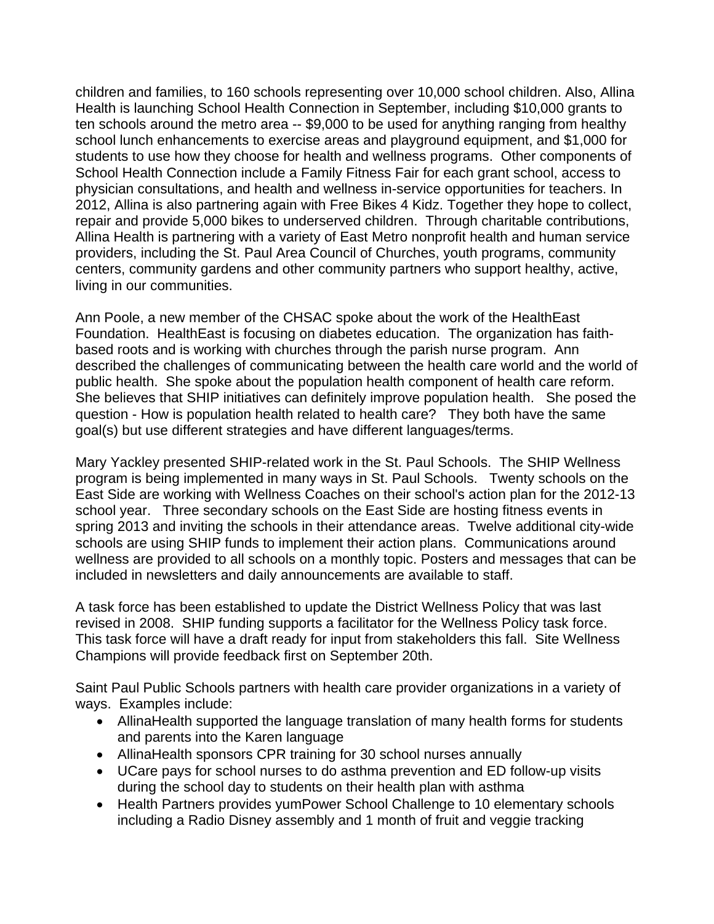children and families, to 160 schools representing over 10,000 school children. Also, Allina Health is launching School Health Connection in September, including \$10,000 grants to ten schools around the metro area -- \$9,000 to be used for anything ranging from healthy school lunch enhancements to exercise areas and playground equipment, and \$1,000 for students to use how they choose for health and wellness programs. Other components of School Health Connection include a Family Fitness Fair for each grant school, access to physician consultations, and health and wellness in-service opportunities for teachers. In 2012, Allina is also partnering again with Free Bikes 4 Kidz. Together they hope to collect, repair and provide 5,000 bikes to underserved children. Through charitable contributions, Allina Health is partnering with a variety of East Metro nonprofit health and human service providers, including the St. Paul Area Council of Churches, youth programs, community centers, community gardens and other community partners who support healthy, active, living in our communities.

Ann Poole, a new member of the CHSAC spoke about the work of the HealthEast Foundation. HealthEast is focusing on diabetes education. The organization has faithbased roots and is working with churches through the parish nurse program. Ann described the challenges of communicating between the health care world and the world of public health. She spoke about the population health component of health care reform. She believes that SHIP initiatives can definitely improve population health. She posed the question - How is population health related to health care? They both have the same goal(s) but use different strategies and have different languages/terms.

Mary Yackley presented SHIP-related work in the St. Paul Schools. The SHIP Wellness program is being implemented in many ways in St. Paul Schools. Twenty schools on the East Side are working with Wellness Coaches on their school's action plan for the 2012-13 school year. Three secondary schools on the East Side are hosting fitness events in spring 2013 and inviting the schools in their attendance areas. Twelve additional city-wide schools are using SHIP funds to implement their action plans. Communications around wellness are provided to all schools on a monthly topic. Posters and messages that can be included in newsletters and daily announcements are available to staff.

A task force has been established to update the District Wellness Policy that was last revised in 2008. SHIP funding supports a facilitator for the Wellness Policy task force. This task force will have a draft ready for input from stakeholders this fall. Site Wellness Champions will provide feedback first on September 20th.

Saint Paul Public Schools partners with health care provider organizations in a variety of ways. Examples include:

- AllinaHealth supported the language translation of many health forms for students and parents into the Karen language
- AllinaHealth sponsors CPR training for 30 school nurses annually
- UCare pays for school nurses to do asthma prevention and ED follow-up visits during the school day to students on their health plan with asthma
- Health Partners provides yumPower School Challenge to 10 elementary schools including a Radio Disney assembly and 1 month of fruit and veggie tracking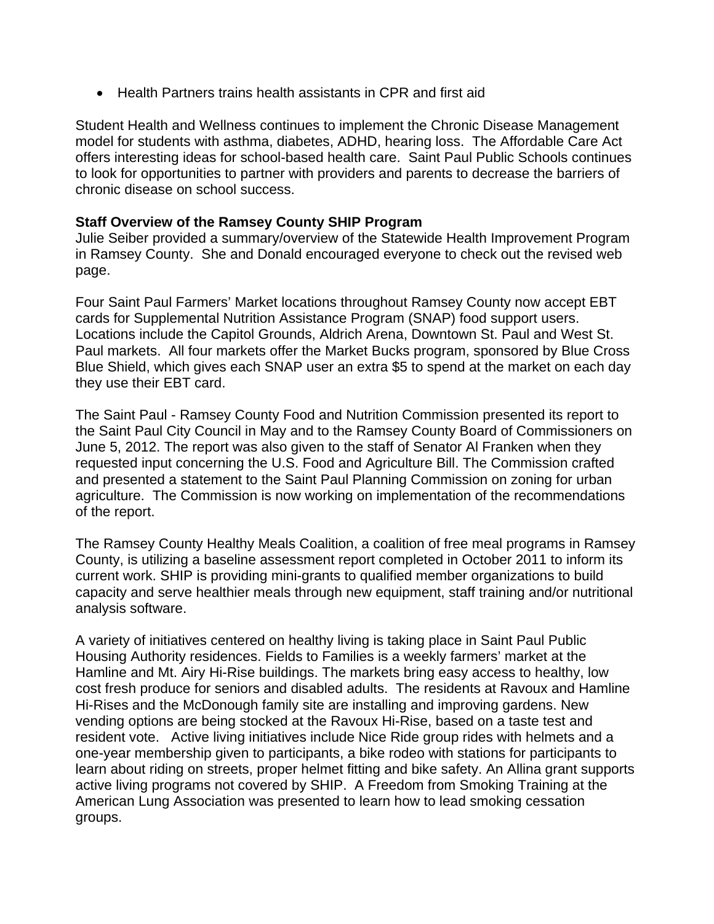• Health Partners trains health assistants in CPR and first aid

Student Health and Wellness continues to implement the Chronic Disease Management model for students with asthma, diabetes, ADHD, hearing loss. The Affordable Care Act offers interesting ideas for school-based health care. Saint Paul Public Schools continues to look for opportunities to partner with providers and parents to decrease the barriers of chronic disease on school success.

## **Staff Overview of the Ramsey County SHIP Program**

Julie Seiber provided a summary/overview of the Statewide Health Improvement Program in Ramsey County. She and Donald encouraged everyone to check out the revised web page.

Four Saint Paul Farmers' Market locations throughout Ramsey County now accept EBT cards for Supplemental Nutrition Assistance Program (SNAP) food support users. Locations include the Capitol Grounds, Aldrich Arena, Downtown St. Paul and West St. Paul markets. All four markets offer the Market Bucks program, sponsored by Blue Cross Blue Shield, which gives each SNAP user an extra \$5 to spend at the market on each day they use their EBT card.

The Saint Paul - Ramsey County Food and Nutrition Commission presented its report to the Saint Paul City Council in May and to the Ramsey County Board of Commissioners on June 5, 2012. The report was also given to the staff of Senator Al Franken when they requested input concerning the U.S. Food and Agriculture Bill. The Commission crafted and presented a statement to the Saint Paul Planning Commission on zoning for urban agriculture. The Commission is now working on implementation of the recommendations of the report.

The Ramsey County Healthy Meals Coalition, a coalition of free meal programs in Ramsey County, is utilizing a baseline assessment report completed in October 2011 to inform its current work. SHIP is providing mini-grants to qualified member organizations to build capacity and serve healthier meals through new equipment, staff training and/or nutritional analysis software.

A variety of initiatives centered on healthy living is taking place in Saint Paul Public Housing Authority residences. Fields to Families is a weekly farmers' market at the Hamline and Mt. Airy Hi-Rise buildings. The markets bring easy access to healthy, low cost fresh produce for seniors and disabled adults. The residents at Ravoux and Hamline Hi-Rises and the McDonough family site are installing and improving gardens. New vending options are being stocked at the Ravoux Hi-Rise, based on a taste test and resident vote. Active living initiatives include Nice Ride group rides with helmets and a one-year membership given to participants, a bike rodeo with stations for participants to learn about riding on streets, proper helmet fitting and bike safety. An Allina grant supports active living programs not covered by SHIP. A Freedom from Smoking Training at the American Lung Association was presented to learn how to lead smoking cessation groups.